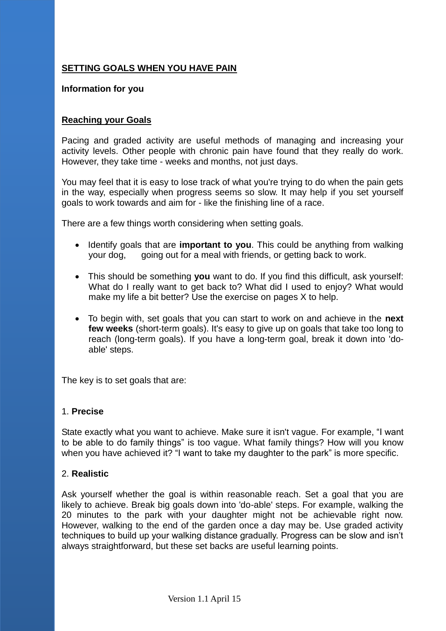## **SETTING GOALS WHEN YOU HAVE PAIN**

#### **Information for you**

### **Reaching your Goals**

Pacing and graded activity are useful methods of managing and increasing your activity levels. Other people with chronic pain have found that they really do work. However, they take time - weeks and months, not just days.

You may feel that it is easy to lose track of what you're trying to do when the pain gets in the way, especially when progress seems so slow. It may help if you set yourself goals to work towards and aim for - like the finishing line of a race.

There are a few things worth considering when setting goals.

- Identify goals that are **important to you**. This could be anything from walking your dog, going out for a meal with friends, or getting back to work.
- This should be something **you** want to do. If you find this difficult, ask yourself: What do I really want to get back to? What did I used to enjoy? What would make my life a bit better? Use the exercise on pages X to help.
- To begin with, set goals that you can start to work on and achieve in the **next few weeks** (short-term goals). It's easy to give up on goals that take too long to reach (long-term goals). If you have a long-term goal, break it down into 'doable' steps.

The key is to set goals that are:

#### 1. **Precise**

State exactly what you want to achieve. Make sure it isn't vague. For example, "I want to be able to do family things" is too vague. What family things? How will you know when you have achieved it? "I want to take my daughter to the park" is more specific.

### 2. **Realistic**

Ask yourself whether the goal is within reasonable reach. Set a goal that you are likely to achieve. Break big goals down into 'do-able' steps. For example, walking the 20 minutes to the park with your daughter might not be achievable right now. However, walking to the end of the garden once a day may be. Use graded activity techniques to build up your walking distance gradually. Progress can be slow and isn't always straightforward, but these set backs are useful learning points.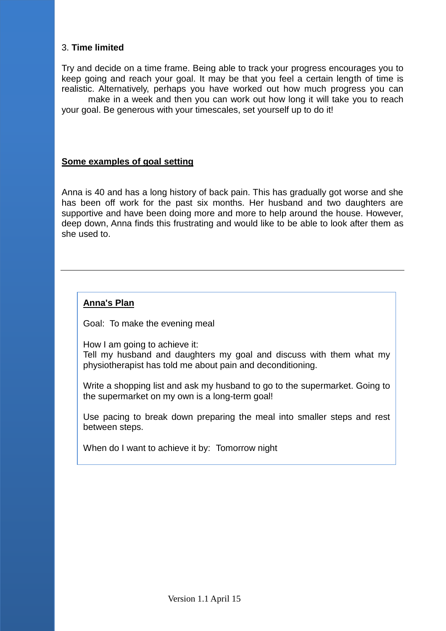## 3. **Time limited**

Try and decide on a time frame. Being able to track your progress encourages you to keep going and reach your goal. It may be that you feel a certain length of time is realistic. Alternatively, perhaps you have worked out how much progress you can

make in a week and then you can work out how long it will take you to reach your goal. Be generous with your timescales, set yourself up to do it!

#### **Some examples of goal setting**

Anna is 40 and has a long history of back pain. This has gradually got worse and she has been off work for the past six months. Her husband and two daughters are supportive and have been doing more and more to help around the house. However, deep down, Anna finds this frustrating and would like to be able to look after them as she used to.

## **Anna's Plan**

Goal: To make the evening meal

How I am going to achieve it: Tell my husband and daughters my goal and discuss with them what my physiotherapist has told me about pain and deconditioning.

Write a shopping list and ask my husband to go to the supermarket. Going to the supermarket on my own is a long-term goal!

Use pacing to break down preparing the meal into smaller steps and rest between steps.

When do I want to achieve it by: Tomorrow night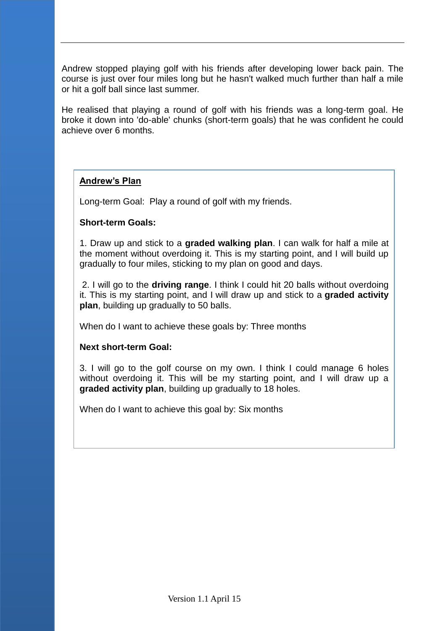Andrew stopped playing golf with his friends after developing lower back pain. The course is just over four miles long but he hasn't walked much further than half a mile or hit a golf ball since last summer.

He realised that playing a round of golf with his friends was a long-term goal. He broke it down into 'do-able' chunks (short-term goals) that he was confident he could achieve over 6 months.

## **Andrew's Plan**

Long-term Goal: Play a round of golf with my friends.

### **Short-term Goals:**

1. Draw up and stick to a **graded walking plan**. I can walk for half a mile at the moment without overdoing it. This is my starting point, and I will build up gradually to four miles, sticking to my plan on good and days.

2. I will go to the **driving range**. I think I could hit 20 balls without overdoing it. This is my starting point, and I will draw up and stick to a **graded activity plan**, building up gradually to 50 balls.

When do I want to achieve these goals by: Three months

### **Next short-term Goal:**

3. I will go to the golf course on my own. I think I could manage 6 holes without overdoing it. This will be my starting point, and I will draw up a **graded activity plan**, building up gradually to 18 holes.

When do I want to achieve this goal by: Six months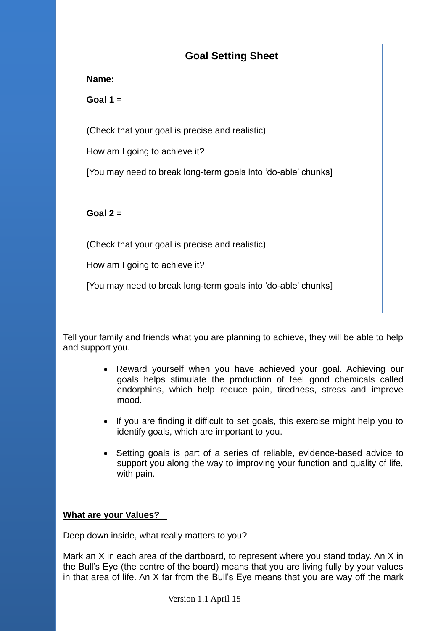# **Goal Setting Sheet**

## **Name:**

**Goal 1 =**

(Check that your goal is precise and realistic)

How am I going to achieve it?

[You may need to break long-term goals into 'do-able' chunks]

**Goal 2 =** 

(Check that your goal is precise and realistic)

How am I going to achieve it?

[You may need to break long-term goals into 'do-able' chunks]

Tell your family and friends what you are planning to achieve, they will be able to help and support you.

- Reward yourself when you have achieved your goal. Achieving our goals helps stimulate the production of feel good chemicals called endorphins, which help reduce pain, tiredness, stress and improve mood.
- If you are finding it difficult to set goals, this exercise might help you to identify goals, which are important to you.
- Setting goals is part of a series of reliable, evidence-based advice to support you along the way to improving your function and quality of life, with pain.

## **What are your Values?**

Deep down inside, what really matters to you?

Mark an X in each area of the dartboard, to represent where you stand today. An X in the Bull's Eye (the centre of the board) means that you are living fully by your values in that area of life. An X far from the Bull's Eye means that you are way off the mark